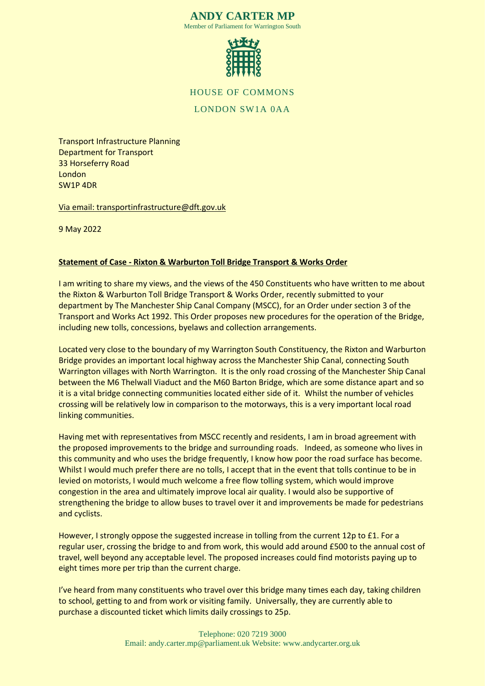#### **ANDY CARTER MP** Member of Parliament for Warrington South



HOUSE OF COMMONS

# LONDON SW1A 0AA

Transport Infrastructure Planning Department for Transport 33 Horseferry Road London SW1P 4DR

Via email: transportinfrastructure@dft.gov.uk

9 May 2022

#### **Statement of Case - Rixton & Warburton Toll Bridge Transport & Works Order**

I am writing to share my views, and the views of the 450 Constituents who have written to me about the Rixton & Warburton Toll Bridge Transport & Works Order, recently submitted to your department by The Manchester Ship Canal Company (MSCC), for an Order under section 3 of the Transport and Works Act 1992. This Order proposes new procedures for the operation of the Bridge, including new tolls, concessions, byelaws and collection arrangements.

Located very close to the boundary of my Warrington South Constituency, the Rixton and Warburton Bridge provides an important local highway across the Manchester Ship Canal, connecting South Warrington villages with North Warrington. It is the only road crossing of the Manchester Ship Canal between the M6 Thelwall Viaduct and the M60 Barton Bridge, which are some distance apart and so it is a vital bridge connecting communities located either side of it. Whilst the number of vehicles crossing will be relatively low in comparison to the motorways, this is a very important local road linking communities.

Having met with representatives from MSCC recently and residents, I am in broad agreement with the proposed improvements to the bridge and surrounding roads. Indeed, as someone who lives in this community and who uses the bridge frequently, I know how poor the road surface has become. Whilst I would much prefer there are no tolls, I accept that in the event that tolls continue to be in levied on motorists, I would much welcome a free flow tolling system, which would improve congestion in the area and ultimately improve local air quality. I would also be supportive of strengthening the bridge to allow buses to travel over it and improvements be made for pedestrians and cyclists.

However, I strongly oppose the suggested increase in tolling from the current 12p to £1. For a regular user, crossing the bridge to and from work, this would add around £500 to the annual cost of travel, well beyond any acceptable level. The proposed increases could find motorists paying up to eight times more per trip than the current charge.

I've heard from many constituents who travel over this bridge many times each day, taking children to school, getting to and from work or visiting family. Universally, they are currently able to purchase a discounted ticket which limits daily crossings to 25p.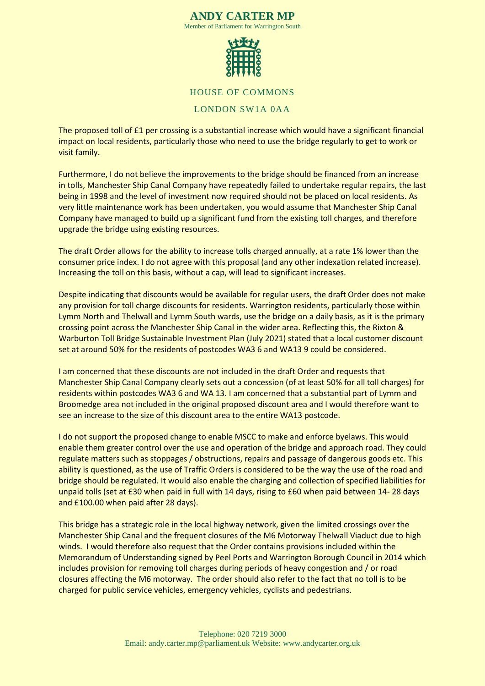#### **ANDY CARTER MP** Member of Parliament for Warrington South



#### HOUSE OF COMMONS

## LONDON SW1A 0AA

The proposed toll of £1 per crossing is a substantial increase which would have a significant financial impact on local residents, particularly those who need to use the bridge regularly to get to work or visit family.

Furthermore, I do not believe the improvements to the bridge should be financed from an increase in tolls, Manchester Ship Canal Company have repeatedly failed to undertake regular repairs, the last being in 1998 and the level of investment now required should not be placed on local residents. As very little maintenance work has been undertaken, you would assume that Manchester Ship Canal Company have managed to build up a significant fund from the existing toll charges, and therefore upgrade the bridge using existing resources.

The draft Order allows for the ability to increase tolls charged annually, at a rate 1% lower than the consumer price index. I do not agree with this proposal (and any other indexation related increase). Increasing the toll on this basis, without a cap, will lead to significant increases.

Despite indicating that discounts would be available for regular users, the draft Order does not make any provision for toll charge discounts for residents. Warrington residents, particularly those within Lymm North and Thelwall and Lymm South wards, use the bridge on a daily basis, as it is the primary crossing point across the Manchester Ship Canal in the wider area. Reflecting this, the Rixton & Warburton Toll Bridge Sustainable Investment Plan (July 2021) stated that a local customer discount set at around 50% for the residents of postcodes WA3 6 and WA13 9 could be considered.

I am concerned that these discounts are not included in the draft Order and requests that Manchester Ship Canal Company clearly sets out a concession (of at least 50% for all toll charges) for residents within postcodes WA3 6 and WA 13. I am concerned that a substantial part of Lymm and Broomedge area not included in the original proposed discount area and I would therefore want to see an increase to the size of this discount area to the entire WA13 postcode.

I do not support the proposed change to enable MSCC to make and enforce byelaws. This would enable them greater control over the use and operation of the bridge and approach road. They could regulate matters such as stoppages / obstructions, repairs and passage of dangerous goods etc. This ability is questioned, as the use of Traffic Orders is considered to be the way the use of the road and bridge should be regulated. It would also enable the charging and collection of specified liabilities for unpaid tolls (set at £30 when paid in full with 14 days, rising to £60 when paid between 14- 28 days and £100.00 when paid after 28 days).

This bridge has a strategic role in the local highway network, given the limited crossings over the Manchester Ship Canal and the frequent closures of the M6 Motorway Thelwall Viaduct due to high winds. I would therefore also request that the Order contains provisions included within the Memorandum of Understanding signed by Peel Ports and Warrington Borough Council in 2014 which includes provision for removing toll charges during periods of heavy congestion and / or road closures affecting the M6 motorway. The order should also refer to the fact that no toll is to be charged for public service vehicles, emergency vehicles, cyclists and pedestrians.